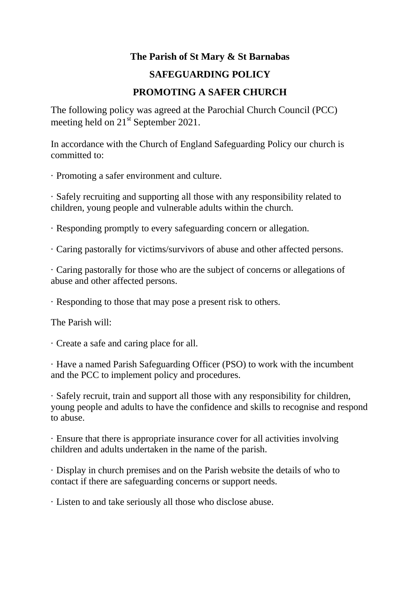## **The Parish of St Mary & St Barnabas**

## **SAFEGUARDING POLICY**

## **PROMOTING A SAFER CHURCH**

The following policy was agreed at the Parochial Church Council (PCC) meeting held on  $21<sup>st</sup>$  September 2021.

In accordance with the Church of England Safeguarding Policy our church is committed to:

· Promoting a safer environment and culture.

· Safely recruiting and supporting all those with any responsibility related to children, young people and vulnerable adults within the church.

· Responding promptly to every safeguarding concern or allegation.

· Caring pastorally for victims/survivors of abuse and other affected persons.

· Caring pastorally for those who are the subject of concerns or allegations of abuse and other affected persons.

· Responding to those that may pose a present risk to others.

The Parish will:

· Create a safe and caring place for all.

· Have a named Parish Safeguarding Officer (PSO) to work with the incumbent and the PCC to implement policy and procedures.

· Safely recruit, train and support all those with any responsibility for children, young people and adults to have the confidence and skills to recognise and respond to abuse.

· Ensure that there is appropriate insurance cover for all activities involving children and adults undertaken in the name of the parish.

· Display in church premises and on the Parish website the details of who to contact if there are safeguarding concerns or support needs.

· Listen to and take seriously all those who disclose abuse.